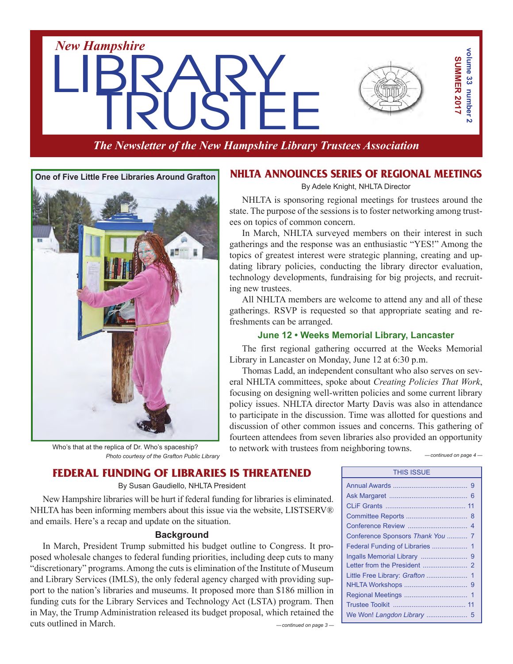

*The Newsletter of the New Hampshire Library Trustees Association*



Who's that at the replica of Dr. Who's spaceship? *Photo courtesy of the Grafton Public Library*

## **NHLTA Announces Series of Regional Meetings**

By Adele Knight, NHLTA Director

NHLTA is sponsoring regional meetings for trustees around the state. The purpose of the sessions is to foster networking among trustees on topics of common concern.

In March, NHLTA surveyed members on their interest in such gatherings and the response was an enthusiastic "YES!" Among the topics of greatest interest were strategic planning, creating and updating library policies, conducting the library director evaluation, technology developments, fundraising for big projects, and recruiting new trustees.

All NHLTA members are welcome to attend any and all of these gatherings. RSVP is requested so that appropriate seating and refreshments can be arranged.

#### **June 12 • Weeks Memorial Library, Lancaster**

The first regional gathering occurred at the Weeks Memorial Library in Lancaster on Monday, June 12 at 6:30 p.m.

Thomas Ladd, an independent consultant who also serves on several NHLTA committees, spoke about *Creating Policies That Work*, focusing on designing well-written policies and some current library policy issues. NHLTA director Marty Davis was also in attendance to participate in the discussion. Time was allotted for questions and discussion of other common issues and concerns. This gathering of fourteen attendees from seven libraries also provided an opportunity to network with trustees from neighboring towns. *—continued on page 4 —*

|  |  | FEDERAL FUNDING OF LIBRARIES IS THREATENED |
|--|--|--------------------------------------------|
|  |  |                                            |

By Susan Gaudiello, NHLTA President

New Hampshire libraries will be hurt if federal funding for libraries is eliminated. NHLTA has been informing members about this issue via the website, LISTSERV® and emails. Here's a recap and update on the situation.

#### **Background**

*—continued on page 3 —* In March, President Trump submitted his budget outline to Congress. It proposed wholesale changes to federal funding priorities, including deep cuts to many "discretionary" programs.Among the cuts is elimination of the Institute of Museum and Library Services (IMLS), the only federal agency charged with providing support to the nation's libraries and museums. It proposed more than \$186 million in funding cuts for the Library Services and Technology Act (LSTA) program. Then in May, the Trump Administration released its budget proposal, which retained the cuts outlined in March.

| <b>THIS ISSUE</b>                |  |  |  |
|----------------------------------|--|--|--|
|                                  |  |  |  |
|                                  |  |  |  |
|                                  |  |  |  |
|                                  |  |  |  |
|                                  |  |  |  |
| Conference Sponsors Thank You  7 |  |  |  |
|                                  |  |  |  |
|                                  |  |  |  |
|                                  |  |  |  |
|                                  |  |  |  |
|                                  |  |  |  |
|                                  |  |  |  |
|                                  |  |  |  |
| We Won! Langdon Library  5       |  |  |  |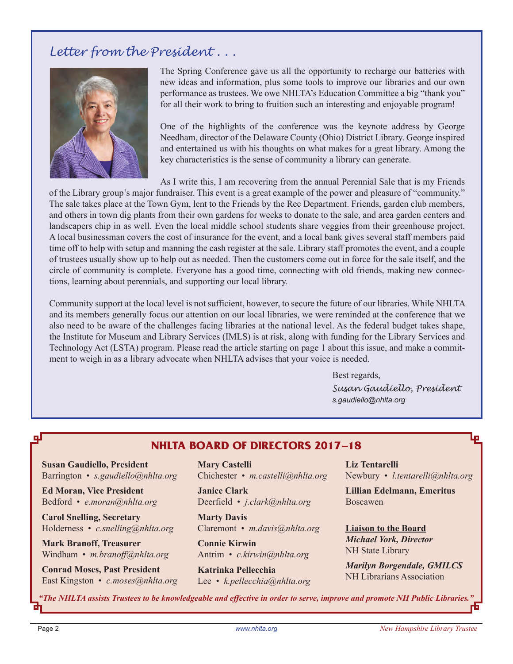# *Letter from the President . . .*



The Spring Conference gave us all the opportunity to recharge our batteries with new ideas and information, plus some tools to improve our libraries and our own performance as trustees. We owe NHLTA's Education Committee a big "thank you" for all their work to bring to fruition such an interesting and enjoyable program!

One of the highlights of the conference was the keynote address by George Needham, director of the Delaware County (Ohio) District Library. George inspired and entertained us with his thoughts on what makes for a great library. Among the key characteristics is the sense of community a library can generate.

As I write this, I am recovering from the annual Perennial Sale that is my Friends

of the Library group's major fundraiser. This event is a great example of the power and pleasure of "community." The sale takes place at the Town Gym, lent to the Friends by the Rec Department. Friends, garden club members, and others in town dig plants from their own gardens for weeks to donate to the sale, and area garden centers and landscapers chip in as well. Even the local middle school students share veggies from their greenhouse project. A local businessman covers the cost of insurance for the event, and a local bank gives several staff members paid time off to help with setup and manning the cash register at the sale. Library staff promotes the event, and a couple of trustees usually show up to help out as needed. Then the customers come out in force for the sale itself, and the circle of community is complete. Everyone has a good time, connecting with old friends, making new connections, learning about perennials, and supporting our local library.

Community support at the local level is not sufficient, however, to secure the future of our libraries. While NHLTA and its members generally focus our attention on our local libraries, we were reminded at the conference that we also need to be aware of the challenges facing libraries at the national level. As the federal budget takes shape, the Institute for Museum and Library Services (IMLS) is at risk, along with funding for the Library Services and Technology Act (LSTA) program. Please read the article starting on page 1 about this issue, and make a commitment to weigh in as a library advocate when NHLTA advises that your voice is needed.

> Best regards, *Susan Gaudiello, President s.gaudiello@nhlta.org*

## **NHLTA BOARD of directors 2017–18**

**Susan Gaudiello, President** Barrington • *s.gaudiello@nhlta.org*

**Ed Moran, Vice President** Bedford • *e.moran@nhlta.org*

**Carol Snelling, Secretary** Holderness • *c.snelling@nhlta.org*

**Mark Branoff, Treasurer** Windham • *m.branoff@nhlta.org*

**Conrad Moses, Past President** East Kingston • *c.moses@nhlta.org*

**Mary Castelli** Chichester • *m.castelli@nhlta.org*

**Janice Clark** Deerfield • *j.clark@nhlta.org*

**Marty Davis** Claremont • *m.davis@nhlta.org*

**Connie Kirwin** Antrim • *c.kirwin@nhlta.org*

**Katrinka Pellecchia** Lee • *k.pellecchia@nhlta.org* **Liz Tentarelli** Newbury • *l.tentarelli@nhlta.org*

**Lillian Edelmann, Emeritus** Boscawen

**Liaison to the Board** *Michael York, Director* NH State Library

*Marilyn Borgendale, GMILCS* NH Librarians Association

*"The NHLTA assists Trustees to be knowledgeable and effective in order to serve, improve and promote NH Public Libraries."*

цI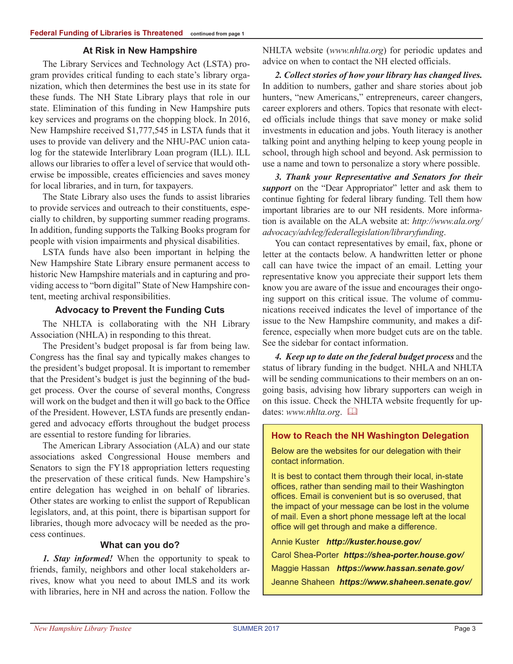#### **At Risk in New Hampshire**

The Library Services and Technology Act (LSTA) program provides critical funding to each state's library organization, which then determines the best use in its state for these funds. The NH State Library plays that role in our state. Elimination of this funding in New Hampshire puts key services and programs on the chopping block. In 2016, New Hampshire received \$1,777,545 in LSTA funds that it uses to provide van delivery and the NHU-PAC union catalog for the statewide Interlibrary Loan program (ILL). ILL allows our libraries to offer a level of service that would otherwise be impossible, creates efficiencies and saves money for local libraries, and in turn, for taxpayers.

The State Library also uses the funds to assist libraries to provide services and outreach to their constituents, especially to children, by supporting summer reading programs. In addition, funding supports the Talking Books program for people with vision impairments and physical disabilities.

LSTA funds have also been important in helping the New Hampshire State Library ensure permanent access to historic New Hampshire materials and in capturing and providing access to "born digital" State of New Hampshire content, meeting archival responsibilities.

#### **Advocacy to Prevent the Funding Cuts**

The NHLTA is collaborating with the NH Library Association (NHLA) in responding to this threat.

The President's budget proposal is far from being law. Congress has the final say and typically makes changes to the president's budget proposal. It is important to remember that the President's budget is just the beginning of the budget process. Over the course of several months, Congress will work on the budget and then it will go back to the Office of the President. However, LSTA funds are presently endangered and advocacy efforts throughout the budget process are essential to restore funding for libraries.

The American Library Association (ALA) and our state associations asked Congressional House members and Senators to sign the FY18 appropriation letters requesting the preservation of these critical funds. New Hampshire's entire delegation has weighed in on behalf of libraries. Other states are working to enlist the support of Republican legislators, and, at this point, there is bipartisan support for libraries, though more advocacy will be needed as the process continues.

#### **What can you do?**

*1. Stay informed!* When the opportunity to speak to friends, family, neighbors and other local stakeholders arrives, know what you need to about IMLS and its work with libraries, here in NH and across the nation. Follow the NHLTA website (*www.nhlta.org*) for periodic updates and advice on when to contact the NH elected officials.

*2. Collect stories of how your library has changed lives.*  In addition to numbers, gather and share stories about job hunters, "new Americans," entrepreneurs, career changers, career explorers and others. Topics that resonate with elected officials include things that save money or make solid investments in education and jobs. Youth literacy is another talking point and anything helping to keep young people in school, through high school and beyond. Ask permission to use a name and town to personalize a story where possible.

*3. Thank your Representative and Senators for their support* on the "Dear Appropriator" letter and ask them to continue fighting for federal library funding. Tell them how important libraries are to our NH residents. More information is available on the ALA website at: *http://www.ala.org/ advocacy/advleg/federallegislation/libraryfunding*.

You can contact representatives by email, fax, phone or letter at the contacts below. A handwritten letter or phone call can have twice the impact of an email. Letting your representative know you appreciate their support lets them know you are aware of the issue and encourages their ongoing support on this critical issue. The volume of communications received indicates the level of importance of the issue to the New Hampshire community, and makes a difference, especially when more budget cuts are on the table. See the sidebar for contact information.

*4. Keep up to date on the federal budget process* and the status of library funding in the budget. NHLA and NHLTA will be sending communications to their members on an ongoing basis, advising how library supporters can weigh in on this issue. Check the NHLTA website frequently for updates: *www.nhlta.org*.  $\Box$ 

#### **How to Reach the NH Washington Delegation**

Below are the websites for our delegation with their contact information.

It is best to contact them through their local, in-state offices, rather than sending mail to their Washington offices. Email is convenient but is so overused, that the impact of your message can be lost in the volume of mail. Even a short phone message left at the local office will get through and make a difference.

Annie Kuster *http://kuster.house.gov/* Carol Shea-Porter *https://shea-porter.house.gov/* Maggie Hassan *https://www.hassan.senate.gov/* Jeanne Shaheen *https://www.shaheen.senate.gov/*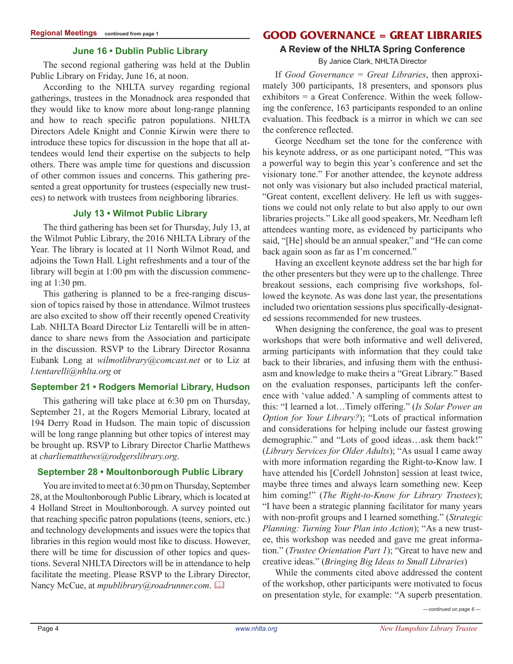#### **June 16 • Dublin Public Library**

The second regional gathering was held at the Dublin Public Library on Friday, June 16, at noon.

According to the NHLTA survey regarding regional gatherings, trustees in the Monadnock area responded that they would like to know more about long-range planning and how to reach specific patron populations. NHLTA Directors Adele Knight and Connie Kirwin were there to introduce these topics for discussion in the hope that all attendees would lend their expertise on the subjects to help others. There was ample time for questions and discussion of other common issues and concerns. This gathering presented a great opportunity for trustees (especially new trustees) to network with trustees from neighboring libraries.

#### **July 13 • Wilmot Public Library**

The third gathering has been set for Thursday, July 13, at the Wilmot Public Library, the 2016 NHLTA Library of the Year. The library is located at 11 North Wilmot Road, and adjoins the Town Hall. Light refreshments and a tour of the library will begin at 1:00 pm with the discussion commencing at 1:30 pm.

This gathering is planned to be a free-ranging discussion of topics raised by those in attendance. Wilmot trustees are also excited to show off their recently opened Creativity Lab. NHLTA Board Director Liz Tentarelli will be in attendance to share news from the Association and participate in the discussion. RSVP to the Library Director Rosanna Eubank Long at *wilmotlibrary@comcast.net* or to Liz at *l.tentarelli@nhlta.org* or

#### **September 21 • Rodgers Memorial Library, Hudson**

This gathering will take place at 6:30 pm on Thursday, September 21, at the Rogers Memorial Library, located at 194 Derry Road in Hudson. The main topic of discussion will be long range planning but other topics of interest may be brought up. RSVP to Library Director Charlie Matthews at *charliematthews@rodgerslibrary.org*.

#### **September 28 • Moultonborough Public Library**

You are invited to meet at 6:30 pm on Thursday, September 28, at the Moultonborough Public Library, which is located at 4 Holland Street in Moultonborough. A survey pointed out that reaching specific patron populations (teens, seniors, etc.) and technology developments and issues were the topics that libraries in this region would most like to discuss. However, there will be time for discussion of other topics and questions. Several NHLTA Directors will be in attendance to help facilitate the meeting. Please RSVP to the Library Director, Nancy McCue, at *mpublibrary@roadrunner.com*.

## **Good Governance = Great Libraries**

# **A Review of the NHLTA Spring Conference**

By Janice Clark, NHLTA Director

If *Good Governance = Great Libraries*, then approximately 300 participants, 18 presenters, and sponsors plus exhibitors = a Great Conference. Within the week following the conference, 163 participants responded to an online evaluation. This feedback is a mirror in which we can see the conference reflected.

George Needham set the tone for the conference with his keynote address, or as one participant noted, "This was a powerful way to begin this year's conference and set the visionary tone." For another attendee, the keynote address not only was visionary but also included practical material, "Great content, excellent delivery. He left us with suggestions we could not only relate to but also apply to our own libraries projects." Like all good speakers, Mr. Needham left attendees wanting more, as evidenced by participants who said, "[He] should be an annual speaker," and "He can come back again soon as far as I'm concerned."

Having an excellent keynote address set the bar high for the other presenters but they were up to the challenge. Three breakout sessions, each comprising five workshops, followed the keynote. As was done last year, the presentations included two orientation sessions plus specifically-designated sessions recommended for new trustees.

When designing the conference, the goal was to present workshops that were both informative and well delivered, arming participants with information that they could take back to their libraries, and infusing them with the enthusiasm and knowledge to make theirs a "Great Library." Based on the evaluation responses, participants left the conference with 'value added.' A sampling of comments attest to this: "I learned a lot…Timely offering." (*Is Solar Power an Option for Your Library?*); "Lots of practical information and considerations for helping include our fastest growing demographic." and "Lots of good ideas…ask them back!" (*Library Services for Older Adults*); "As usual I came away with more information regarding the Right-to-Know law. I have attended his [Cordell Johnston] session at least twice, maybe three times and always learn something new. Keep him coming!" (*The Right-to-Know for Library Trustees*); "I have been a strategic planning facilitator for many years with non-profit groups and I learned something." (*Strategic Planning: Turning Your Plan into Action*); "As a new trustee, this workshop was needed and gave me great information." (*Trustee Orientation Part 1*); "Great to have new and creative ideas." (*Bringing Big Ideas to Small Libraries*)

While the comments cited above addressed the content of the workshop, other participants were motivated to focus on presentation style, for example: "A superb presentation.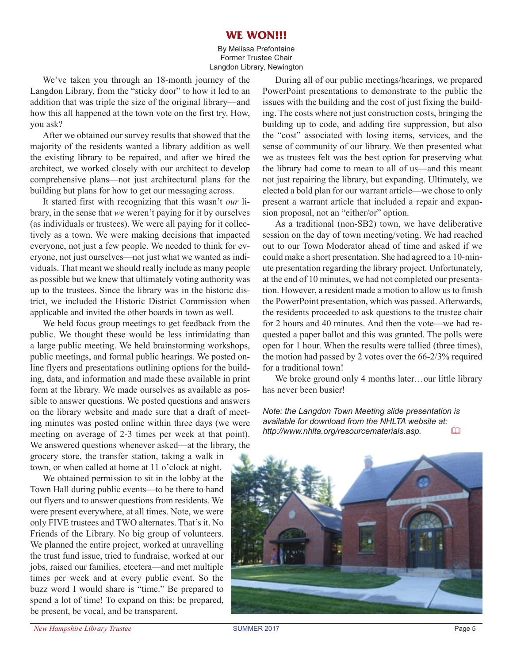## **WE WON!!!**

By Melissa Prefontaine Former Trustee Chair Langdon Library, Newington

We've taken you through an 18-month journey of the Langdon Library, from the "sticky door" to how it led to an addition that was triple the size of the original library—and how this all happened at the town vote on the first try. How, you ask?

After we obtained our survey results that showed that the majority of the residents wanted a library addition as well the existing library to be repaired, and after we hired the architect, we worked closely with our architect to develop comprehensive plans—not just architectural plans for the building but plans for how to get our messaging across.

It started first with recognizing that this wasn't *our* library, in the sense that *we* weren't paying for it by ourselves (as individuals or trustees). We were all paying for it collectively as a town. We were making decisions that impacted everyone, not just a few people. We needed to think for everyone, not just ourselves—not just what we wanted as individuals. That meant we should really include as many people as possible but we knew that ultimately voting authority was up to the trustees. Since the library was in the historic district, we included the Historic District Commission when applicable and invited the other boards in town as well.

We held focus group meetings to get feedback from the public. We thought these would be less intimidating than a large public meeting. We held brainstorming workshops, public meetings, and formal public hearings. We posted online flyers and presentations outlining options for the building, data, and information and made these available in print form at the library. We made ourselves as available as possible to answer questions. We posted questions and answers on the library website and made sure that a draft of meeting minutes was posted online within three days (we were meeting on average of 2-3 times per week at that point). We answered questions whenever asked—at the library, the grocery store, the transfer station, taking a walk in

town, or when called at home at 11 o'clock at night. We obtained permission to sit in the lobby at the Town Hall during public events—to be there to hand out flyers and to answer questions from residents. We were present everywhere, at all times. Note, we were only FIVE trustees and TWO alternates. That's it. No Friends of the Library. No big group of volunteers. We planned the entire project, worked at unravelling the trust fund issue, tried to fundraise, worked at our jobs, raised our families, etcetera—and met multiple times per week and at every public event. So the buzz word I would share is "time." Be prepared to spend a lot of time! To expand on this: be prepared, be present, be vocal, and be transparent.

During all of our public meetings/hearings, we prepared PowerPoint presentations to demonstrate to the public the issues with the building and the cost of just fixing the building. The costs where not just construction costs, bringing the building up to code, and adding fire suppression, but also the "cost" associated with losing items, services, and the sense of community of our library. We then presented what we as trustees felt was the best option for preserving what the library had come to mean to all of us—and this meant not just repairing the library, but expanding. Ultimately, we elected a bold plan for our warrant article—we chose to only present a warrant article that included a repair and expansion proposal, not an "either/or" option.

As a traditional (non-SB2) town, we have deliberative session on the day of town meeting/voting. We had reached out to our Town Moderator ahead of time and asked if we could make a short presentation. She had agreed to a 10-minute presentation regarding the library project. Unfortunately, at the end of 10 minutes, we had not completed our presentation. However, a resident made a motion to allow us to finish the PowerPoint presentation, which was passed. Afterwards, the residents proceeded to ask questions to the trustee chair for 2 hours and 40 minutes. And then the vote—we had requested a paper ballot and this was granted. The polls were open for 1 hour. When the results were tallied (three times), the motion had passed by 2 votes over the 66-2/3% required for a traditional town!

We broke ground only 4 months later...our little library has never been busier!

*Note: the Langdon Town Meeting slide presentation is available for download from the NHLTA website at: http://www.nhlta.org/resourcematerials.asp.* &

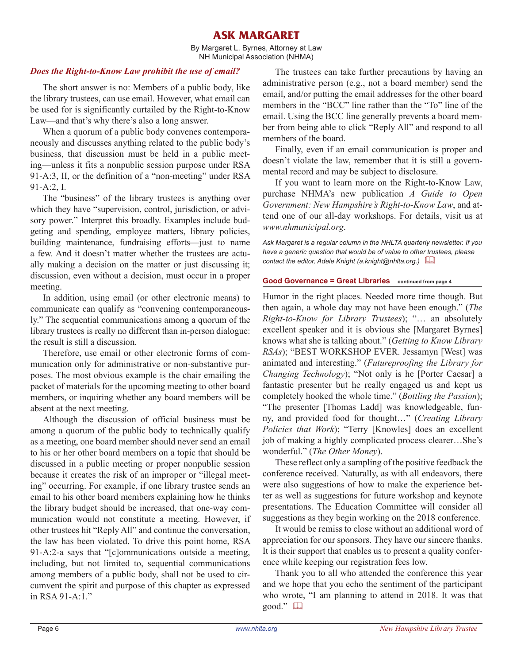## **ask margaret**

By Margaret L. Byrnes, Attorney at Law NH Municipal Association (NHMA)

#### *Does the Right-to-Know Law prohibit the use of email?*

The short answer is no: Members of a public body, like the library trustees, can use email. However, what email can be used for is significantly curtailed by the Right-to-Know Law—and that's why there's also a long answer.

When a quorum of a public body convenes contemporaneously and discusses anything related to the public body's business, that discussion must be held in a public meeting—unless it fits a nonpublic session purpose under RSA 91-A:3, II, or the definition of a "non-meeting" under RSA 91-A:2, I.

The "business" of the library trustees is anything over which they have "supervision, control, jurisdiction, or advisory power." Interpret this broadly. Examples include budgeting and spending, employee matters, library policies, building maintenance, fundraising efforts—just to name a few. And it doesn't matter whether the trustees are actually making a decision on the matter or just discussing it; discussion, even without a decision, must occur in a proper meeting.

In addition, using email (or other electronic means) to communicate can qualify as "convening contemporaneously." The sequential communications among a quorum of the library trustees is really no different than in-person dialogue: the result is still a discussion.

Therefore, use email or other electronic forms of communication only for administrative or non-substantive purposes. The most obvious example is the chair emailing the packet of materials for the upcoming meeting to other board members, or inquiring whether any board members will be absent at the next meeting.

Although the discussion of official business must be among a quorum of the public body to technically qualify as a meeting, one board member should never send an email to his or her other board members on a topic that should be discussed in a public meeting or proper nonpublic session because it creates the risk of an improper or "illegal meeting" occurring. For example, if one library trustee sends an email to his other board members explaining how he thinks the library budget should be increased, that one-way communication would not constitute a meeting. However, if other trustees hit "Reply All" and continue the conversation, the law has been violated. To drive this point home, RSA 91-A:2-a says that "[c]ommunications outside a meeting, including, but not limited to, sequential communications among members of a public body, shall not be used to circumvent the spirit and purpose of this chapter as expressed in RSA 91-A:1."

The trustees can take further precautions by having an administrative person (e.g., not a board member) send the email, and/or putting the email addresses for the other board members in the "BCC" line rather than the "To" line of the email. Using the BCC line generally prevents a board member from being able to click "Reply All" and respond to all members of the board.

Finally, even if an email communication is proper and doesn't violate the law, remember that it is still a governmental record and may be subject to disclosure.

If you want to learn more on the Right-to-Know Law, purchase NHMA's new publication *A Guide to Open Government: New Hampshire's Right-to-Know Law*, and attend one of our all-day workshops. For details, visit us at *www.nhmunicipal.org*.

*Ask Margaret is a regular column in the NHLTA quarterly newsletter. If you have a generic question that would be of value to other trustees, please contact the editor, Adele Knight (a.knight@nhlta.org.)* &

#### **Good Governance = Great Libraries continued from page 4**

Humor in the right places. Needed more time though. But then again, a whole day may not have been enough." (*The Right-to-Know for Library Trustees*); "… an absolutely excellent speaker and it is obvious she [Margaret Byrnes] knows what she is talking about." (*Getting to Know Library RSAs*); "BEST WORKSHOP EVER. Jessamyn [West] was animated and interesting." (*Futureproofing the Library for Changing Technology*); "Not only is he [Porter Caesar] a fantastic presenter but he really engaged us and kept us completely hooked the whole time." (*Bottling the Passion*); "The presenter [Thomas Ladd] was knowledgeable, funny, and provided food for thought…" (*Creating Library Policies that Work*); "Terry [Knowles] does an excellent job of making a highly complicated process clearer…She's wonderful." (*The Other Money*).

These reflect only a sampling of the positive feedback the conference received. Naturally, as with all endeavors, there were also suggestions of how to make the experience better as well as suggestions for future workshop and keynote presentations. The Education Committee will consider all suggestions as they begin working on the 2018 conference.

It would be remiss to close without an additional word of appreciation for our sponsors. They have our sincere thanks. It is their support that enables us to present a quality conference while keeping our registration fees low.

Thank you to all who attended the conference this year and we hope that you echo the sentiment of the participant who wrote, "I am planning to attend in 2018. It was that good." &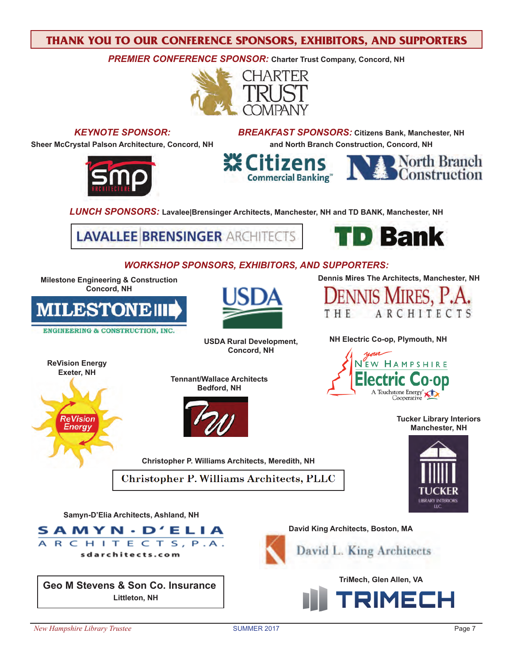## **Thank you to our Conference Sponsors, Exhibitors, and Supporters**

**PREMIER CONFERENCE SPONSOR:** Charter Trust Company, Concord, NH





**Littleton, NH**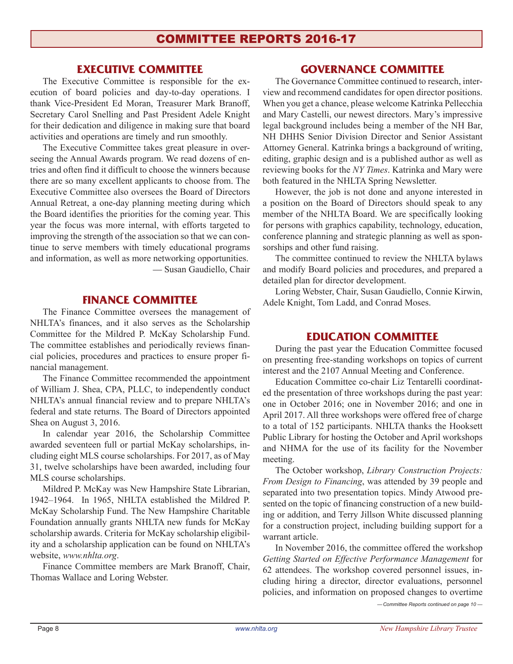## **Executive Committee**

The Executive Committee is responsible for the execution of board policies and day-to-day operations. I thank Vice-President Ed Moran, Treasurer Mark Branoff, Secretary Carol Snelling and Past President Adele Knight for their dedication and diligence in making sure that board activities and operations are timely and run smoothly.

The Executive Committee takes great pleasure in overseeing the Annual Awards program. We read dozens of entries and often find it difficult to choose the winners because there are so many excellent applicants to choose from. The Executive Committee also oversees the Board of Directors Annual Retreat, a one-day planning meeting during which the Board identifies the priorities for the coming year. This year the focus was more internal, with efforts targeted to improving the strength of the association so that we can continue to serve members with timely educational programs and information, as well as more networking opportunities. — Susan Gaudiello, Chair

#### **Finance Committee**

The Finance Committee oversees the management of NHLTA's finances, and it also serves as the Scholarship Committee for the Mildred P. McKay Scholarship Fund. The committee establishes and periodically reviews financial policies, procedures and practices to ensure proper financial management.

The Finance Committee recommended the appointment of William J. Shea, CPA, PLLC, to independently conduct NHLTA's annual financial review and to prepare NHLTA's federal and state returns. The Board of Directors appointed Shea on August 3, 2016.

In calendar year 2016, the Scholarship Committee awarded seventeen full or partial McKay scholarships, including eight MLS course scholarships. For 2017, as of May 31, twelve scholarships have been awarded, including four MLS course scholarships.

Mildred P. McKay was New Hampshire State Librarian, 1942–1964. In 1965, NHLTA established the Mildred P. McKay Scholarship Fund. The New Hampshire Charitable Foundation annually grants NHLTA new funds for McKay scholarship awards. Criteria for McKay scholarship eligibility and a scholarship application can be found on NHLTA's website, *www.nhlta.org*.

Finance Committee members are Mark Branoff, Chair, Thomas Wallace and Loring Webster.

## **Governance Committee**

The Governance Committee continued to research, interview and recommend candidates for open director positions. When you get a chance, please welcome Katrinka Pellecchia and Mary Castelli, our newest directors. Mary's impressive legal background includes being a member of the NH Bar, NH DHHS Senior Division Director and Senior Assistant Attorney General. Katrinka brings a background of writing, editing, graphic design and is a published author as well as reviewing books for the *NY Times*. Katrinka and Mary were both featured in the NHLTA Spring Newsletter.

However, the job is not done and anyone interested in a position on the Board of Directors should speak to any member of the NHLTA Board. We are specifically looking for persons with graphics capability, technology, education, conference planning and strategic planning as well as sponsorships and other fund raising.

The committee continued to review the NHLTA bylaws and modify Board policies and procedures, and prepared a detailed plan for director development.

Loring Webster, Chair, Susan Gaudiello, Connie Kirwin, Adele Knight, Tom Ladd, and Conrad Moses.

## **Education Committee**

During the past year the Education Committee focused on presenting free-standing workshops on topics of current interest and the 2107 Annual Meeting and Conference.

Education Committee co-chair Liz Tentarelli coordinated the presentation of three workshops during the past year: one in October 2016; one in November 2016; and one in April 2017. All three workshops were offered free of charge to a total of 152 participants. NHLTA thanks the Hooksett Public Library for hosting the October and April workshops and NHMA for the use of its facility for the November meeting.

The October workshop, *Library Construction Projects: From Design to Financing*, was attended by 39 people and separated into two presentation topics. Mindy Atwood presented on the topic of financing construction of a new building or addition, and Terry Jillson White discussed planning for a construction project, including building support for a warrant article.

In November 2016, the committee offered the workshop *Getting Started on Effective Performance Management* for 62 attendees. The workshop covered personnel issues, including hiring a director, director evaluations, personnel policies, and information on proposed changes to overtime

*—Committee Reports continued on page 10 —*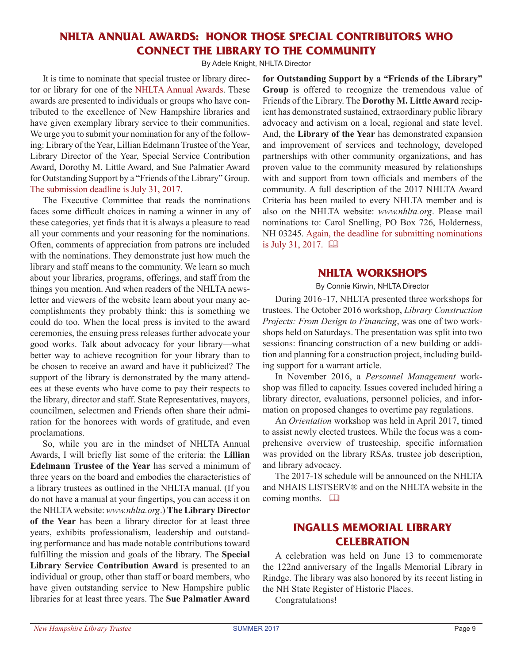## **nhlta annual awards: Honor Those Special Contributors Who Connect the Library to the Community**

By Adele Knight, NHLTA Director

It is time to nominate that special trustee or library director or library for one of the NHLTA Annual Awards. These awards are presented to individuals or groups who have contributed to the excellence of New Hampshire libraries and have given exemplary library service to their communities. We urge you to submit your nomination for any of the following: Library of the Year, Lillian Edelmann Trustee of the Year, Library Director of the Year, Special Service Contribution Award, Dorothy M. Little Award, and Sue Palmatier Award for Outstanding Support by a "Friends of the Library" Group. The submission deadline is July 31, 2017.

The Executive Committee that reads the nominations faces some difficult choices in naming a winner in any of these categories, yet finds that it is always a pleasure to read all your comments and your reasoning for the nominations. Often, comments of appreciation from patrons are included with the nominations. They demonstrate just how much the library and staff means to the community. We learn so much about your libraries, programs, offerings, and staff from the things you mention. And when readers of the NHLTA newsletter and viewers of the website learn about your many accomplishments they probably think: this is something we could do too. When the local press is invited to the award ceremonies, the ensuing press releases further advocate your good works. Talk about advocacy for your library—what better way to achieve recognition for your library than to be chosen to receive an award and have it publicized? The support of the library is demonstrated by the many attendees at these events who have come to pay their respects to the library, director and staff. State Representatives, mayors, councilmen, selectmen and Friends often share their admiration for the honorees with words of gratitude, and even proclamations.

So, while you are in the mindset of NHLTA Annual Awards, I will briefly list some of the criteria: the **Lillian Edelmann Trustee of the Year** has served a minimum of three years on the board and embodies the characteristics of a library trustees as outlined in the NHLTA manual. (If you do not have a manual at your fingertips, you can access it on the NHLTAwebsite: *www.nhlta.org*.) **The Library Director of the Year** has been a library director for at least three years, exhibits professionalism, leadership and outstanding performance and has made notable contributions toward fulfilling the mission and goals of the library. The **Special Library Service Contribution Award** is presented to an individual or group, other than staff or board members, who have given outstanding service to New Hampshire public libraries for at least three years. The **Sue Palmatier Award** 

**for Outstanding Support by a "Friends of the Library" Group** is offered to recognize the tremendous value of Friends of the Library. The **Dorothy M. Little Award** recipient has demonstrated sustained, extraordinary public library advocacy and activism on a local, regional and state level. And, the **Library of the Year** has demonstrated expansion and improvement of services and technology, developed partnerships with other community organizations, and has proven value to the community measured by relationships with and support from town officials and members of the community. A full description of the 2017 NHLTA Award Criteria has been mailed to every NHLTA member and is also on the NHLTA website: *www.nhlta.org*. Please mail nominations to: Carol Snelling, PO Box 726, Holderness, NH 03245. Again, the deadline for submitting nominations is July 31, 2017. &

## **NHLTA Workshops**

By Connie Kirwin, NHLTA Director

During 2016 -17, NHLTA presented three workshops for trustees. The October 2016 workshop, *Library Construction Projects: From Design to Financing*, was one of two workshops held on Saturdays. The presentation was split into two sessions: financing construction of a new building or addition and planning for a construction project, including building support for a warrant article.

In November 2016, a *Personnel Management* workshop was filled to capacity. Issues covered included hiring a library director, evaluations, personnel policies, and information on proposed changes to overtime pay regulations.

An *Orientation* workshop was held in April 2017, timed to assist newly elected trustees. While the focus was a comprehensive overview of trusteeship, specific information was provided on the library RSAs, trustee job description, and library advocacy.

The 2017-18 schedule will be announced on the NHLTA and NHAIS LISTSERV® and on the NHLTA website in the coming months.  $\Box$ 

## **Ingalls Memorial Library CEI FRRATION**

A celebration was held on June 13 to commemorate the 122nd anniversary of the Ingalls Memorial Library in Rindge. The library was also honored by its recent listing in the NH State Register of Historic Places.

Congratulations!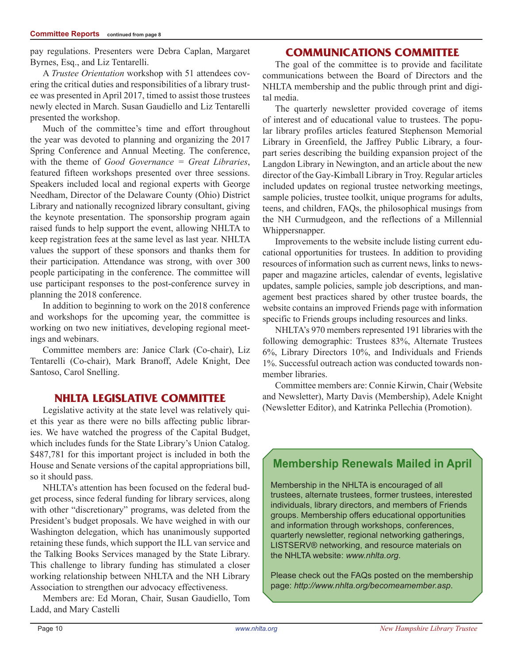pay regulations. Presenters were Debra Caplan, Margaret Byrnes, Esq., and Liz Tentarelli.

A *Trustee Orientation* workshop with 51 attendees covering the critical duties and responsibilities of a library trustee was presented in April 2017, timed to assist those trustees newly elected in March. Susan Gaudiello and Liz Tentarelli presented the workshop.

Much of the committee's time and effort throughout the year was devoted to planning and organizing the 2017 Spring Conference and Annual Meeting. The conference, with the theme of *Good Governance = Great Libraries*, featured fifteen workshops presented over three sessions. Speakers included local and regional experts with George Needham, Director of the Delaware County (Ohio) District Library and nationally recognized library consultant, giving the keynote presentation. The sponsorship program again raised funds to help support the event, allowing NHLTA to keep registration fees at the same level as last year. NHLTA values the support of these sponsors and thanks them for their participation. Attendance was strong, with over 300 people participating in the conference. The committee will use participant responses to the post-conference survey in planning the 2018 conference.

In addition to beginning to work on the 2018 conference and workshops for the upcoming year, the committee is working on two new initiatives, developing regional meetings and webinars.

Committee members are: Janice Clark (Co-chair), Liz Tentarelli (Co-chair), Mark Branoff, Adele Knight, Dee Santoso, Carol Snelling.

## **NHLTA Legislative Committee**

Legislative activity at the state level was relatively quiet this year as there were no bills affecting public libraries. We have watched the progress of the Capital Budget, which includes funds for the State Library's Union Catalog. \$487,781 for this important project is included in both the House and Senate versions of the capital appropriations bill, so it should pass.

NHLTA's attention has been focused on the federal budget process, since federal funding for library services, along with other "discretionary" programs, was deleted from the President's budget proposals. We have weighed in with our Washington delegation, which has unanimously supported retaining these funds, which support the ILL van service and the Talking Books Services managed by the State Library. This challenge to library funding has stimulated a closer working relationship between NHLTA and the NH Library Association to strengthen our advocacy effectiveness.

Members are: Ed Moran, Chair, Susan Gaudiello, Tom Ladd, and Mary Castelli

## **Communications Committee**

The goal of the committee is to provide and facilitate communications between the Board of Directors and the NHLTA membership and the public through print and digital media.

The quarterly newsletter provided coverage of items of interest and of educational value to trustees. The popular library profiles articles featured Stephenson Memorial Library in Greenfield, the Jaffrey Public Library, a fourpart series describing the building expansion project of the Langdon Library in Newington, and an article about the new director of the Gay-Kimball Library in Troy. Regular articles included updates on regional trustee networking meetings, sample policies, trustee toolkit, unique programs for adults, teens, and children, FAQs, the philosophical musings from the NH Curmudgeon, and the reflections of a Millennial Whippersnapper.

Improvements to the website include listing current educational opportunities for trustees. In addition to providing resources of information such as current news, links to newspaper and magazine articles, calendar of events, legislative updates, sample policies, sample job descriptions, and management best practices shared by other trustee boards, the website contains an improved Friends page with information specific to Friends groups including resources and links.

NHLTA's 970 members represented 191 libraries with the following demographic: Trustees 83%, Alternate Trustees 6%, Library Directors 10%, and Individuals and Friends 1%. Successful outreach action was conducted towards nonmember libraries.

Committee members are: Connie Kirwin, Chair (Website and Newsletter), Marty Davis (Membership), Adele Knight (Newsletter Editor), and Katrinka Pellechia (Promotion).

# **Membership Renewals Mailed in April**

Membership in the NHLTA is encouraged of all trustees, alternate trustees, former trustees, interested individuals, library directors, and members of Friends groups. Membership offers educational opportunities and information through workshops, conferences, quarterly newsletter, regional networking gatherings, LISTSERV® networking, and resource materials on the NHLTA website: *www.nhlta.org*.

Please check out the FAQs posted on the membership page: *http://www.nhlta.org/becomeamember.asp*.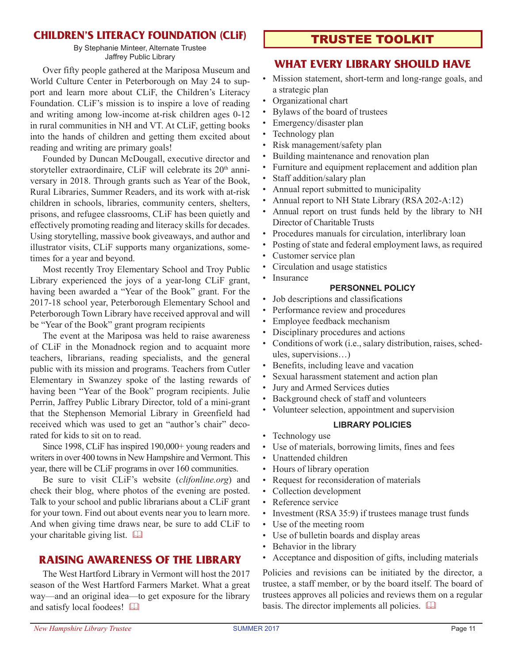## **Children's Literacy Foundation (CLiF)**

By Stephanie Minteer, Alternate Trustee Jaffrey Public Library

Over fifty people gathered at the Mariposa Museum and World Culture Center in Peterborough on May 24 to support and learn more about CLiF, the Children's Literacy Foundation. CLiF's mission is to inspire a love of reading and writing among low-income at-risk children ages 0-12 in rural communities in NH and VT. At CLiF, getting books into the hands of children and getting them excited about reading and writing are primary goals!

Founded by Duncan McDougall, executive director and storyteller extraordinaire, CLiF will celebrate its 20<sup>th</sup> anniversary in 2018. Through grants such as Year of the Book, Rural Libraries, Summer Readers, and its work with at-risk children in schools, libraries, community centers, shelters, prisons, and refugee classrooms, CLiF has been quietly and effectively promoting reading and literacy skills for decades. Using storytelling, massive book giveaways, and author and illustrator visits, CLiF supports many organizations, sometimes for a year and beyond.

Most recently Troy Elementary School and Troy Public Library experienced the joys of a year-long CLiF grant, having been awarded a "Year of the Book" grant. For the 2017-18 school year, Peterborough Elementary School and Peterborough Town Library have received approval and will be "Year of the Book" grant program recipients

The event at the Mariposa was held to raise awareness of CLiF in the Monadnock region and to acquaint more teachers, librarians, reading specialists, and the general public with its mission and programs. Teachers from Cutler Elementary in Swanzey spoke of the lasting rewards of having been "Year of the Book" program recipients. Julie Perrin, Jaffrey Public Library Director, told of a mini-grant that the Stephenson Memorial Library in Greenfield had received which was used to get an "author's chair" decorated for kids to sit on to read.

Since 1998, CLiF has inspired 190,000+ young readers and writers in over 400 towns in New Hampshire and Vermont. This year, there will be CLiF programs in over 160 communities.

Be sure to visit CLiF's website (*clifonline.org*) and check their blog, where photos of the evening are posted. Talk to your school and public librarians about a CLiF grant for your town. Find out about events near you to learn more. And when giving time draws near, be sure to add CLiF to your charitable giving list.  $\square$ 

## **raising awareness of the library**

The West Hartford Library in Vermont will host the 2017 season of the West Hartford Farmers Market. What a great way—and an original idea—to get exposure for the library and satisfy local foodees!

## trustee toolkit

## **WHAT EVERY LIBRARY SHOULD HAVE**

- • Mission statement, short-term and long-range goals, and a strategic plan
- • Organizational chart
- • Bylaws of the board of trustees
- Emergency/disaster plan
- Technology plan
- Risk management/safety plan
- Building maintenance and renovation plan
- Furniture and equipment replacement and addition plan
- Staff addition/salary plan
- Annual report submitted to municipality
- Annual report to NH State Library  $(RSA 202-A:12)$
- Annual report on trust funds held by the library to NH Director of Charitable Trusts
- Procedures manuals for circulation, interlibrary loan
- Posting of state and federal employment laws, as required
- Customer service plan
- Circulation and usage statistics
- Insurance

#### **PERSONNEL POLICY**

- • Job descriptions and classifications
- Performance review and procedures
- Employee feedback mechanism
- Disciplinary procedures and actions
- Conditions of work (i.e., salary distribution, raises, schedules, supervisions…)
- Benefits, including leave and vacation
- • Sexual harassment statement and action plan
- Jury and Armed Services duties
- Background check of staff and volunteers
- Volunteer selection, appointment and supervision

#### **LIBRARY POLICIES**

- Technology use
- Use of materials, borrowing limits, fines and fees
- Unattended children
- Hours of library operation
- Request for reconsideration of materials
- Collection development
- Reference service
- Investment (RSA 35:9) if trustees manage trust funds
- Use of the meeting room
- Use of bulletin boards and display areas
- Behavior in the library
- Acceptance and disposition of gifts, including materials

Policies and revisions can be initiated by the director, a trustee, a staff member, or by the board itself. The board of trustees approves all policies and reviews them on a regular basis. The director implements all policies.  $\Box$